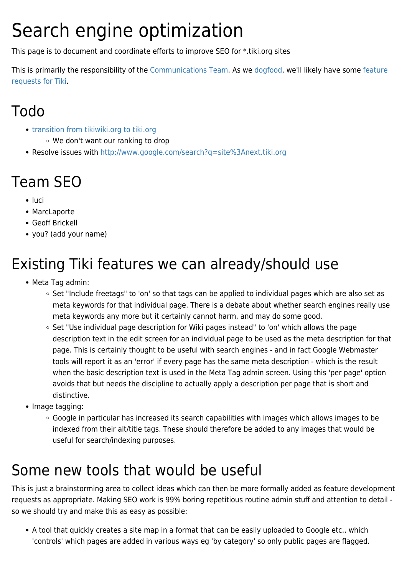# Search engine optimization

This page is to document and coordinate efforts to improve SEO for \*.tiki.org sites

This is primarily the responsibility of the [Communications Team.](https://tiki.org/Communications-Team) As we [dogfood,](https://tiki.org/DogFood) we'll likely have some [feature](http://dev.tiki.org/SEO) [requests for Tiki](http://dev.tiki.org/SEO).

### Todo

- [transition from tikiwiki.org to tiki.org](https://tiki.org/Infrastructure-Team#transition_from_tikiwiki.org_to_tiki.org)
	- We don't want our ranking to drop
- Resolve issues with <http://www.google.com/search?q=site%3Anext.tiki.org>

## Team SEO

- luci
- MarcLaporte
- Geoff Brickell
- you? (add your name)

# Existing Tiki features we can already/should use

- Meta Tag admin:
	- o Set "Include freetags" to 'on' so that tags can be applied to individual pages which are also set as meta keywords for that individual page. There is a debate about whether search engines really use meta keywords any more but it certainly cannot harm, and may do some good.
	- Set "Use individual page description for Wiki pages instead" to 'on' which allows the page description text in the edit screen for an individual page to be used as the meta description for that page. This is certainly thought to be useful with search engines - and in fact Google Webmaster tools will report it as an 'error' if every page has the same meta description - which is the result when the basic description text is used in the Meta Tag admin screen. Using this 'per page' option avoids that but needs the discipline to actually apply a description per page that is short and distinctive.
- Image tagging:
	- Google in particular has increased its search capabilities with images which allows images to be indexed from their alt/title tags. These should therefore be added to any images that would be useful for search/indexing purposes.

#### Some new tools that would be useful

This is just a brainstorming area to collect ideas which can then be more formally added as feature development requests as appropriate. Making SEO work is 99% boring repetitious routine admin stuff and attention to detail so we should try and make this as easy as possible:

A tool that quickly creates a site map in a format that can be easily uploaded to Google etc., which 'controls' which pages are added in various ways eg 'by category' so only public pages are flagged.